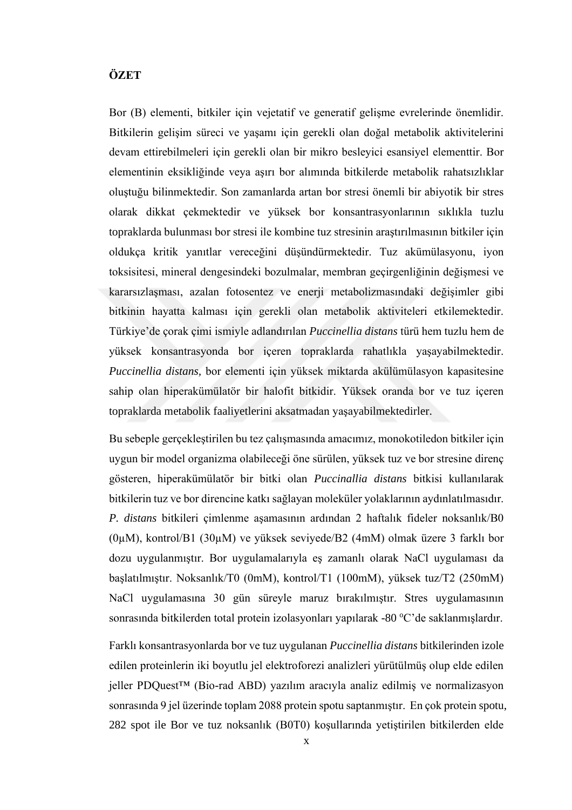## **ÖZET**

Bor (B) elementi, bitkiler için vejetatif ve generatif gelişme evrelerinde önemlidir. Bitkilerin gelişim süreci ve yaşamı için gerekli olan doğal metabolik aktivitelerini devam ettirebilmeleri için gerekli olan bir mikro besleyici esansiyel elementtir. Bor elementinin eksikliğinde veya aşırı bor alımında bitkilerde metabolik rahatsızlıklar oluştuğu bilinmektedir. Son zamanlarda artan bor stresi önemli bir abiyotik bir stres olarak dikkat çekmektedir ve yüksek bor konsantrasyonlarının sıklıkla tuzlu topraklarda bulunması bor stresi ile kombine tuz stresinin araştırılmasının bitkiler için oldukça kritik yanıtlar vereceğini düşündürmektedir. Tuz akümülasyonu, iyon toksisitesi, mineral dengesindeki bozulmalar, membran geçirgenliğinin değişmesi ve kararsızlaşması, azalan fotosentez ve enerji metabolizmasındaki değişimler gibi bitkinin hayatta kalması için gerekli olan metabolik aktiviteleri etkilemektedir. Türkiye'de çorak çimi ismiyle adlandırılan *Puccinellia distans* türü hem tuzlu hem de yüksek konsantrasyonda bor içeren topraklarda rahatlıkla yaşayabilmektedir. *Puccinellia distans,* bor elementi için yüksek miktarda akülümülasyon kapasitesine sahip olan hiperakümülatör bir halofit bitkidir. Yüksek oranda bor ve tuz içeren topraklarda metabolik faaliyetlerini aksatmadan yaşayabilmektedirler.

Bu sebeple gerçekleştirilen bu tez çalışmasında amacımız, monokotiledon bitkiler için uygun bir model organizma olabileceği öne sürülen, yüksek tuz ve bor stresine direnç gösteren, hiperakümülatör bir bitki olan *Puccinallia distans* bitkisi kullanılarak bitkilerin tuz ve bor direncine katkı sağlayan moleküler yolaklarının aydınlatılmasıdır. *P. distans* bitkileri çimlenme aşamasının ardından 2 haftalık fideler noksanlık/B0 (0µM), kontrol/B1 (30µM) ve yüksek seviyede/B2 (4mM) olmak üzere 3 farklı bor dozu uygulanmıştır. Bor uygulamalarıyla eş zamanlı olarak NaCl uygulaması da başlatılmıştır. Noksanlık/T0 (0mM), kontrol/T1 (100mM), yüksek tuz/T2 (250mM) NaCl uygulamasına 30 gün süreyle maruz bırakılmıştır. Stres uygulamasının sonrasında bitkilerden total protein izolasyonları yapılarak -80  $\rm{°C}$ 'de saklanmışlardır.

Farklı konsantrasyonlarda bor ve tuz uygulanan *Puccinellia distans* bitkilerinden izole edilen proteinlerin iki boyutlu jel elektroforezi analizleri yürütülmüş olup elde edilen jeller PDQuest™ (Bio-rad ABD) yazılım aracıyla analiz edilmiş ve normalizasyon sonrasında 9 jel üzerinde toplam 2088 protein spotu saptanmıştır. En çok protein spotu, 282 spot ile Bor ve tuz noksanlık (B0T0) koşullarında yetiştirilen bitkilerden elde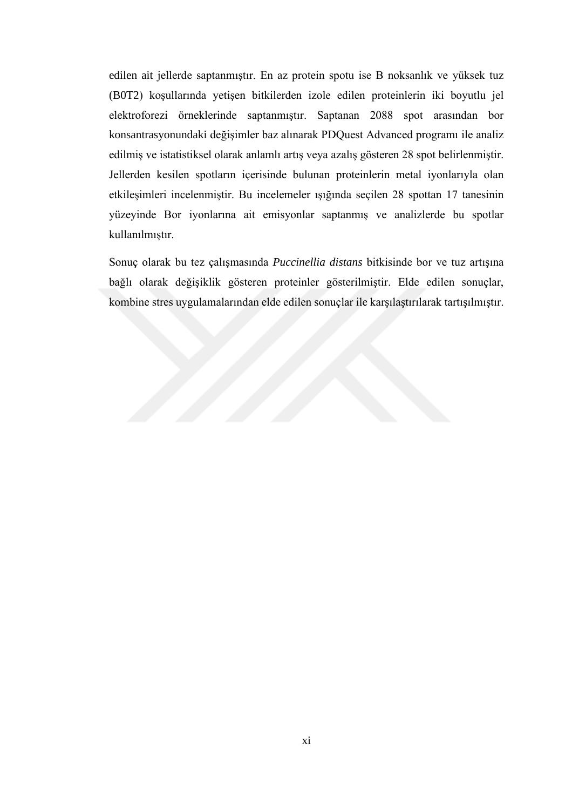edilen ait jellerde saptanmıştır. En az protein spotu ise B noksanlık ve yüksek tuz (B0T2) koşullarında yetişen bitkilerden izole edilen proteinlerin iki boyutlu jel elektroforezi örneklerinde saptanmıştır. Saptanan 2088 spot arasından bor konsantrasyonundaki değişimler baz alınarak PDQuest Advanced programı ile analiz edilmiş ve istatistiksel olarak anlamlı artış veya azalış gösteren 28 spot belirlenmiştir. Jellerden kesilen spotların içerisinde bulunan proteinlerin metal iyonlarıyla olan etkileşimleri incelenmiştir. Bu incelemeler ışığında seçilen 28 spottan 17 tanesinin yüzeyinde Bor iyonlarına ait emisyonlar saptanmış ve analizlerde bu spotlar kullanılmıştır.

Sonuç olarak bu tez çalışmasında *Puccinellia distans* bitkisinde bor ve tuz artışına bağlı olarak değişiklik gösteren proteinler gösterilmiştir. Elde edilen sonuçlar, kombine stres uygulamalarından elde edilen sonuçlar ile karşılaştırılarak tartışılmıştır.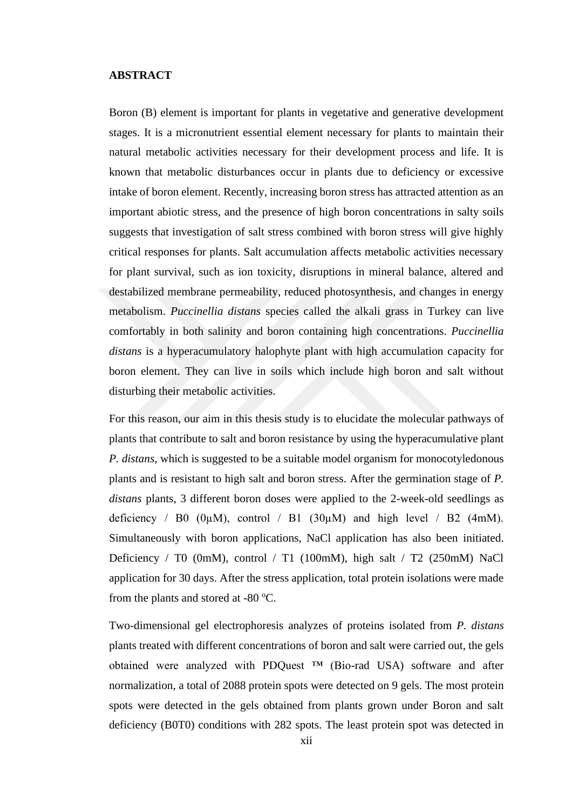## **ABSTRACT**

Boron (B) element is important for plants in vegetative and generative development stages. It is a micronutrient essential element necessary for plants to maintain their natural metabolic activities necessary for their development process and life. It is known that metabolic disturbances occur in plants due to deficiency or excessive intake of boron element. Recently, increasing boron stress has attracted attention as an important abiotic stress, and the presence of high boron concentrations in salty soils suggests that investigation of salt stress combined with boron stress will give highly critical responses for plants. Salt accumulation affects metabolic activities necessary for plant survival, such as ion toxicity, disruptions in mineral balance, altered and destabilized membrane permeability, reduced photosynthesis, and changes in energy metabolism. *Puccinellia distans* species called the alkali grass in Turkey can live comfortably in both salinity and boron containing high concentrations. *Puccinellia distans* is a hyperacumulatory halophyte plant with high accumulation capacity for boron element. They can live in soils which include high boron and salt without disturbing their metabolic activities.

For this reason, our aim in this thesis study is to elucidate the molecular pathways of plants that contribute to salt and boron resistance by using the hyperacumulative plant *P. distans*, which is suggested to be a suitable model organism for monocotyledonous plants and is resistant to high salt and boron stress. After the germination stage of *P. distans* plants, 3 different boron doses were applied to the 2-week-old seedlings as deficiency / B0 ( $0\mu$ M), control / B1 ( $30\mu$ M) and high level / B2 ( $4$ mM). Simultaneously with boron applications, NaCl application has also been initiated. Deficiency / T0 (0mM), control / T1 (100mM), high salt / T2 (250mM) NaCl application for 30 days. After the stress application, total protein isolations were made from the plants and stored at -80  $^{\circ}$ C.

Two-dimensional gel electrophoresis analyzes of proteins isolated from *P. distans* plants treated with different concentrations of boron and salt were carried out, the gels obtained were analyzed with PDQuest ™ (Bio-rad USA) software and after normalization, a total of 2088 protein spots were detected on 9 gels. The most protein spots were detected in the gels obtained from plants grown under Boron and salt deficiency (B0T0) conditions with 282 spots. The least protein spot was detected in